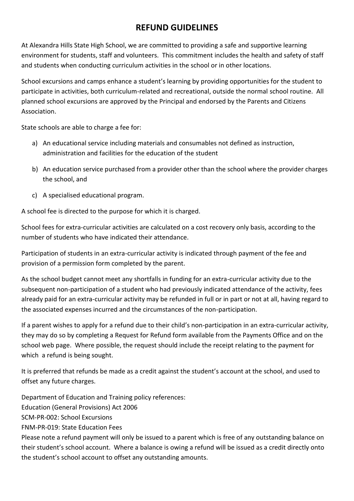## **REFUND GUIDELINES**

At Alexandra Hills State High School, we are committed to providing a safe and supportive learning environment for students, staff and volunteers. This commitment includes the health and safety of staff and students when conducting curriculum activities in the school or in other locations.

School excursions and camps enhance a student's learning by providing opportunities for the student to participate in activities, both curriculum-related and recreational, outside the normal school routine. All planned school excursions are approved by the Principal and endorsed by the Parents and Citizens Association.

State schools are able to charge a fee for:

- a) An educational service including materials and consumables not defined as instruction, administration and facilities for the education of the student
- b) An education service purchased from a provider other than the school where the provider charges the school, and
- c) A specialised educational program.

A school fee is directed to the purpose for which it is charged.

School fees for extra-curricular activities are calculated on a cost recovery only basis, according to the number of students who have indicated their attendance.

Participation of students in an extra-curricular activity is indicated through payment of the fee and provision of a permission form completed by the parent.

As the school budget cannot meet any shortfalls in funding for an extra-curricular activity due to the subsequent non-participation of a student who had previously indicated attendance of the activity, fees already paid for an extra-curricular activity may be refunded in full or in part or not at all, having regard to the associated expenses incurred and the circumstances of the non-participation.

If a parent wishes to apply for a refund due to their child's non-participation in an extra-curricular activity, they may do so by completing a Request for Refund form available from the Payments Office and on the school web page. Where possible, the request should include the receipt relating to the payment for which a refund is being sought.

It is preferred that refunds be made as a credit against the student's account at the school, and used to offset any future charges.

Department of Education and Training policy references: Education (General Provisions) Act 2006 SCM-PR-002: School Excursions FNM-PR-019: State Education Fees Please note a refund payment will only be issued to a parent which is free of any outstanding balance on their student's school account. Where a balance is owing a refund will be issued as a credit directly onto the student's school account to offset any outstanding amounts.